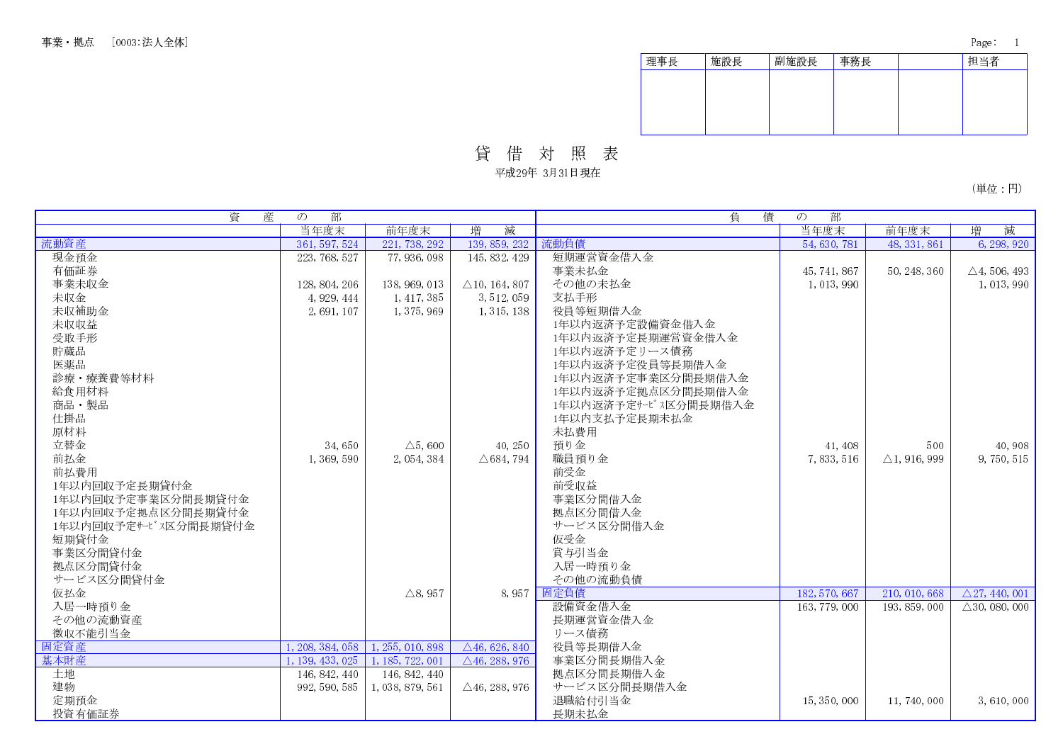| 理事長 | 施設長 | 副施設長 | 事務長 | 担当者 |
|-----|-----|------|-----|-----|
|     |     |      |     |     |
|     |     |      |     |     |
|     |     |      |     |     |
|     |     |      |     |     |

貸借対照表

平成29年 3月31日現在

(単位:円)

| 資<br>産               | 部<br>$\mathcal{O}$ |                    |                          | 負<br>債               | 部<br>$\mathcal{O}$ |                         |                                     |
|----------------------|--------------------|--------------------|--------------------------|----------------------|--------------------|-------------------------|-------------------------------------|
|                      | 当年度末               | 前年度末               | 減<br>増                   |                      | 当年度末               | 前年度末                    | 減<br>増                              |
| 流動資産                 | 361, 597, 524      | 221, 738, 292      | 139, 859, 232            | 流動負債                 | 54, 630, 781       | 48, 331, 861            | 6, 298, 920                         |
| 現金預金                 | 223, 768, 527      | 77, 936, 098       | 145, 832, 429            | 短期運営資金借入金            |                    |                         |                                     |
| 有価証券                 |                    |                    |                          | 事業未払金                | 45, 741, 867       | 50, 248, 360            | $\triangle$ 4, 506, 493             |
| 事業未収金                | 128, 804, 206      | 138, 969, 013      | $\triangle$ 10, 164, 807 | その他の未払金              | 1,013,990          |                         | 1, 013, 990                         |
| 未収金                  | 4, 929, 444        | 1, 417, 385        | 3, 512, 059              | 支払手形                 |                    |                         |                                     |
| 未収補助金                | 2,691,107          | 1, 375, 969        | 1, 315, 138              | 役員等短期借入金             |                    |                         |                                     |
| 未収収益                 |                    |                    |                          | 1年以内返済予定設備資金借入金      |                    |                         |                                     |
| 受取手形                 |                    |                    |                          | 1年以内返済予定長期運営資金借入金    |                    |                         |                                     |
| 貯蔵品                  |                    |                    |                          | 1年以内返済予定リース債務        |                    |                         |                                     |
| 医薬品                  |                    |                    |                          | 1年以内返済予定役員等長期借入金     |                    |                         |                                     |
| 診療·療養費等材料            |                    |                    |                          | 1年以内返済予定事業区分間長期借入金   |                    |                         |                                     |
| 給食用材料                |                    |                    |                          | 1年以内返済予定拠点区分間長期借入金   |                    |                         |                                     |
| 商品・製品                |                    |                    |                          | 1年以内返済予定サービス区分間長期借入金 |                    |                         |                                     |
| 仕掛品                  |                    |                    |                          | 1年以内支払予定長期未払金        |                    |                         |                                     |
| 原材料                  |                    |                    |                          | 未払費用                 |                    |                         |                                     |
| 立替金                  | 34,650             | $\triangle$ 5,600  | 40, 250                  | 預り金                  | 41, 408            | 500                     | 40, 908                             |
| 前払金                  | 1, 369, 590        | 2, 054, 384        | $\triangle$ 684, 794     | 職員預り金                | 7,833,516          | $\triangle$ 1, 916, 999 | 9, 750, 515                         |
| 前払費用                 |                    |                    |                          | 前受金                  |                    |                         |                                     |
| 1年以内回収予定長期貸付金        |                    |                    |                          | 前受収益                 |                    |                         |                                     |
| 1年以内回収予定事業区分間長期貸付金   |                    |                    |                          | 事業区分間借入金             |                    |                         |                                     |
| 1年以内回収予定拠点区分間長期貸付金   |                    |                    |                          | 拠点区分間借入金             |                    |                         |                                     |
| 1年以内回収予定サービス区分間長期貸付金 |                    |                    |                          | サービス区分間借入金           |                    |                         |                                     |
| 短期貸付金                |                    |                    |                          | 仮受金                  |                    |                         |                                     |
| 事業区分間貸付金             |                    |                    |                          | 賞与引当金                |                    |                         |                                     |
| 拠点区分間貸付金             |                    |                    |                          | 入居一時預り金              |                    |                         |                                     |
| サービス区分間貸付金           |                    |                    |                          | その他の流動負債             |                    |                         |                                     |
| 仮払金                  |                    | $\triangle$ 8, 957 |                          | 8,957 固定負債           | 182, 570, 667      | 210, 010, 668           | $\overline{\triangle 27, 440, 001}$ |
| 入居一時預り金              |                    |                    |                          | 設備資金借入金              | 163, 779, 000      | 193, 859, 000           | $\triangle$ 30, 080, 000            |
| その他の流動資産             |                    |                    |                          | 長期運営資金借入金            |                    |                         |                                     |
| 徵収不能引当金              |                    |                    |                          | リース債務                |                    |                         |                                     |
| 固定資産                 | 1, 208, 384, 058   | 1, 255, 010, 898   | $\triangle$ 46, 626, 840 | 役員等長期借入金             |                    |                         |                                     |
| 基本財産                 | 1, 139, 433, 025   | 1, 185, 722, 001   | $\triangle$ 46, 288, 976 | 事業区分間長期借入金           |                    |                         |                                     |
| 土地                   | 146, 842, 440      |                    |                          | 拠点区分間長期借入金           |                    |                         |                                     |
| 建物                   |                    | 146, 842, 440      |                          | サービス区分間長期借入金         |                    |                         |                                     |
|                      | 992, 590, 585      | 1,038,879,561      | $\triangle$ 46, 288, 976 |                      |                    |                         |                                     |
| 定期預金                 |                    |                    |                          | 退職給付引当金              | 15, 350, 000       | 11, 740, 000            | 3,610,000                           |
| 投資有価証券               |                    |                    |                          | 長期未払金                |                    |                         |                                     |

Page: 1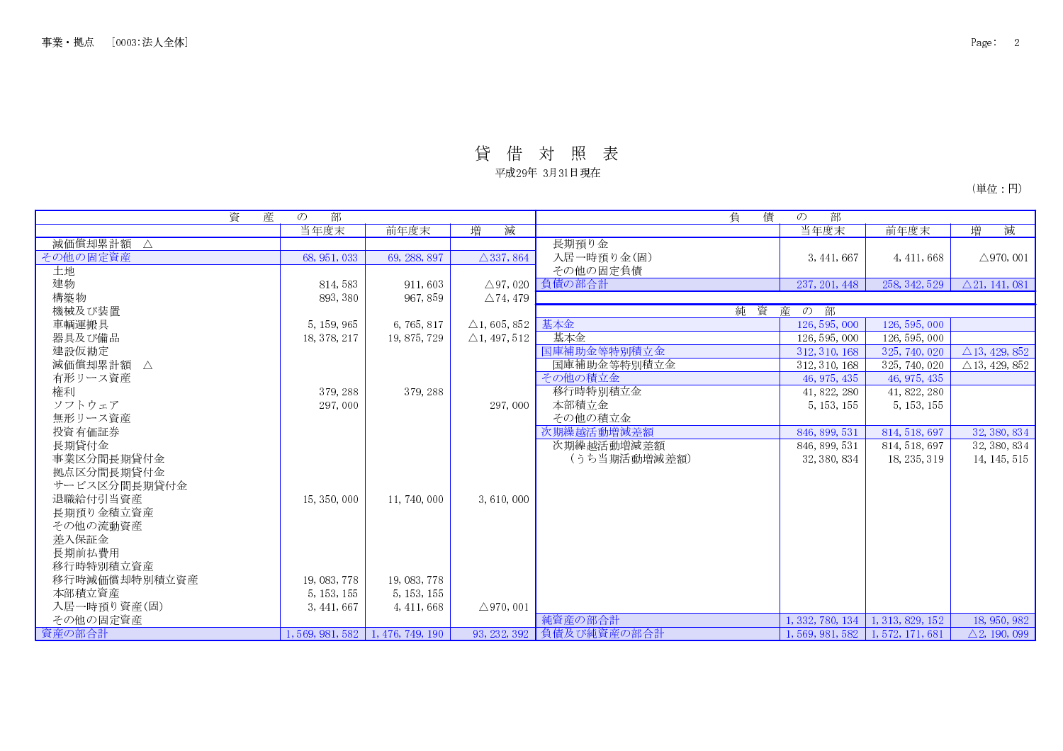# 貸借対照表

平成29年 3月31日現在

(単位:円)

| 資<br>産                 | 部<br>$\mathcal{O}$                       |              |                           | 債<br>負                 | 部<br>$\mathcal{O}$                       |                                          |                          |
|------------------------|------------------------------------------|--------------|---------------------------|------------------------|------------------------------------------|------------------------------------------|--------------------------|
|                        | 当年度末                                     | 前年度末         | 減<br>増                    |                        | 当年度末                                     | 前年度末                                     | 減<br>増                   |
| 減価償却累計額<br>$\Delta$    |                                          |              |                           | 長期預り金                  |                                          |                                          |                          |
| その他の固定資産               | 68, 951, 033                             | 69, 288, 897 | $\triangle$ 337, 864      | 入居一時預り金(固)             | 3, 441, 667                              | 4, 411, 668                              | $\triangle$ 970, 001     |
| 土地                     |                                          |              |                           | その他の固定負債               |                                          |                                          |                          |
| 建物                     | 814, 583                                 | 911,603      |                           | △97,020 負債の部合計         | 237, 201, 448                            | 258, 342, 529                            | $\triangle$ 21, 141, 081 |
| 構築物                    | 893, 380                                 | 967,859      | $\triangle$ 74, 479       |                        |                                          |                                          |                          |
| 機械及び装置                 |                                          |              |                           | 純<br>資                 | 産<br>部<br>$\mathcal{D}$                  |                                          |                          |
| 車輌運搬具                  | 5, 159, 965                              | 6,765,817    | $\triangle$ 1,605,852 基本金 |                        | 126, 595, 000                            | 126, 595, 000                            |                          |
| 器具及び備品                 | 18, 378, 217                             | 19, 875, 729 | $\triangle$ 1, 497, 512   | 基本金                    | 126, 595, 000                            | 126, 595, 000                            |                          |
| 建設仮勘定                  |                                          |              |                           | 国庫補助金等特別積立金            | 312, 310, 168                            | 325, 740, 020                            | $\triangle$ 13, 429, 852 |
| 減価償却累計額<br>$\triangle$ |                                          |              |                           | 国庫補助金等特別積立金            | 312, 310, 168                            | 325, 740, 020                            | $\triangle$ 13, 429, 852 |
| 有形リース資産                |                                          |              |                           | その他の積立金                | 46, 975, 435                             | 46, 975, 435                             |                          |
| 権利                     | 379, 288                                 | 379, 288     |                           | 移行時特別積立金               | 41, 822, 280                             | 41, 822, 280                             |                          |
| ソフトウェア                 | 297,000                                  |              | 297,000                   | 本部積立金                  | 5, 153, 155                              | 5, 153, 155                              |                          |
| 無形リース資産                |                                          |              |                           | その他の積立金                |                                          |                                          |                          |
| 投資有価証券                 |                                          |              |                           | 次期繰越活動増減差額             | 846, 899, 531                            | 814, 518, 697                            | 32, 380, 834             |
| 長期貸付金                  |                                          |              |                           | 次期繰越活動増減差額             | 846, 899, 531                            | 814, 518, 697                            | 32, 380, 834             |
| 事業区分間長期貸付金             |                                          |              |                           | (うち当期活動増減差額)           | 32, 380, 834                             | 18, 235, 319                             | 14, 145, 515             |
| 拠点区分間長期貸付金             |                                          |              |                           |                        |                                          |                                          |                          |
| サービス区分間長期貸付金           |                                          |              |                           |                        |                                          |                                          |                          |
| 退職給付引当資産               | 15, 350, 000                             | 11, 740, 000 | 3,610,000                 |                        |                                          |                                          |                          |
| 長期預り金積立資産              |                                          |              |                           |                        |                                          |                                          |                          |
| その他の流動資産               |                                          |              |                           |                        |                                          |                                          |                          |
| 差入保証金                  |                                          |              |                           |                        |                                          |                                          |                          |
| 長期前払費用                 |                                          |              |                           |                        |                                          |                                          |                          |
| 移行時特別積立資産              |                                          |              |                           |                        |                                          |                                          |                          |
| 移行時減価償却特別積立資産          | 19, 083, 778                             | 19, 083, 778 |                           |                        |                                          |                                          |                          |
| 本部積立資産                 | 5, 153, 155                              | 5, 153, 155  |                           |                        |                                          |                                          |                          |
| 入居一時預り資産(固)            | 3, 441, 667                              | 4, 411, 668  | $\triangle$ 970, 001      |                        |                                          |                                          |                          |
| その他の固定資産               |                                          |              |                           | 純資産の部合計                |                                          | $1, 332, 780, 134 \mid 1, 313, 829, 152$ | 18, 950, 982             |
| 資産の部合計                 | $1, 569, 981, 582 \mid 1, 476, 749, 190$ |              |                           | 93,232,392 負債及び純資産の部合計 | $1, 569, 981, 582 \mid 1, 572, 171, 681$ |                                          | $\triangle$ 2, 190, 099  |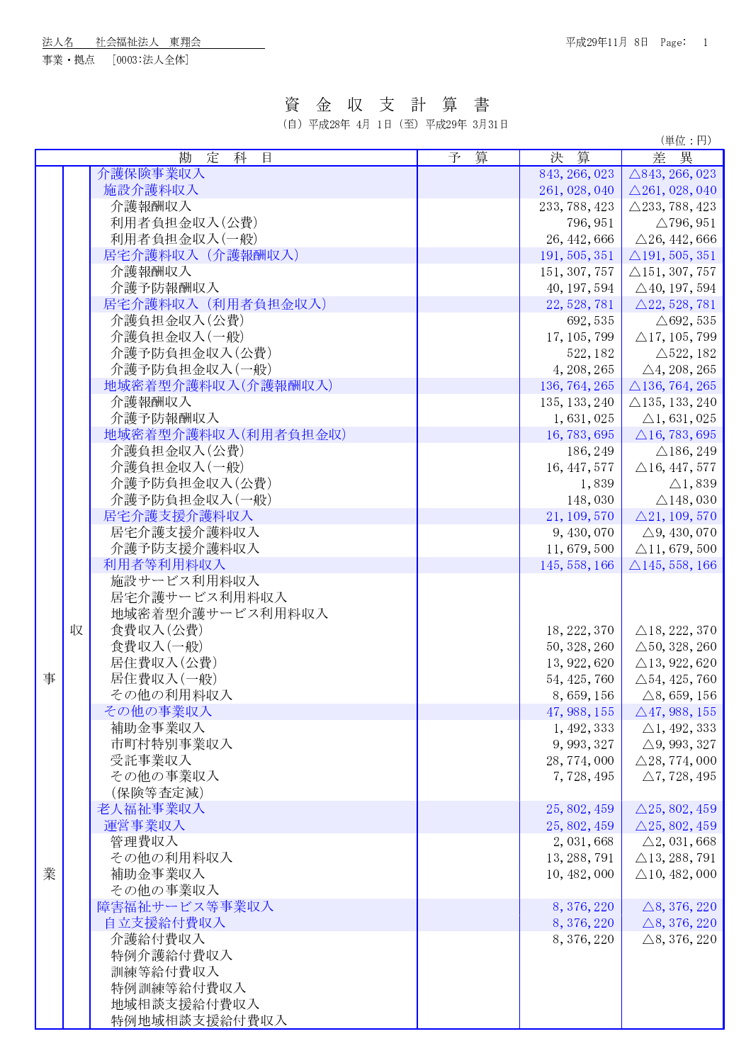! " # \$&%' )(\*# +,-

7&8:95;< =?>->-> 54@ ABC

## 資金収支計算書

- 
 

(単位:円)

|   |   | 勘<br>定<br>科<br>目    | 予算 | 決 算           | 差異                        |
|---|---|---------------------|----|---------------|---------------------------|
|   |   | 介護保険事業収入            |    | 843, 266, 023 | $\triangle$ 843, 266, 023 |
|   |   | 施設介護料収入             |    | 261, 028, 040 | $\triangle$ 261, 028, 040 |
|   |   | 介護報酬収入              |    | 233, 788, 423 | $\triangle$ 233, 788, 423 |
|   |   | 利用者負担金収入(公費)        |    |               |                           |
|   |   |                     |    | 796, 951      | $\triangle$ 796, 951      |
|   |   | 利用者負担金収入(一般)        |    | 26, 442, 666  | $\triangle$ 26, 442, 666  |
|   |   | 居宅介護料収入 (介護報酬収入)    |    | 191, 505, 351 | $\triangle$ 191, 505, 351 |
|   |   | 介護報酬収入              |    | 151, 307, 757 | $\triangle$ 151, 307, 757 |
|   |   | 介護予防報酬収入            |    | 40, 197, 594  | $\triangle$ 40, 197, 594  |
|   |   | 居宅介護料収入 (利用者負担金収入)  |    | 22, 528, 781  | $\triangle$ 22, 528, 781  |
|   |   | 介護負担金収入(公費)         |    | 692, 535      | $\triangle$ 692, 535      |
|   |   | 介護負担金収入(一般)         |    | 17, 105, 799  | $\triangle$ 17, 105, 799  |
|   |   | 介護予防負担金収入(公費)       |    | 522, 182      | $\triangle$ 522, 182      |
|   |   | 介護予防負担金収入(一般)       |    | 4, 208, 265   | $\triangle 4, 208, 265$   |
|   |   | 地域密着型介護料収入(介護報酬収入)  |    | 136, 764, 265 | $\triangle$ 136, 764, 265 |
|   |   | 介護報酬収入              |    | 135, 133, 240 | $\triangle$ 135, 133, 240 |
|   |   | 介護予防報酬収入            |    | 1,631,025     | $\triangle$ 1, 631, 025   |
|   |   | 地域密着型介護料収入(利用者負担金収) |    | 16, 783, 695  | $\triangle$ 16, 783, 695  |
|   |   | 介護負担金収入(公費)         |    | 186, 249      | $\triangle$ 186, 249      |
|   |   | 介護負担金収入(一般)         |    | 16, 447, 577  | $\triangle$ 16, 447, 577  |
|   |   | 介護予防負担金収入(公費)       |    | 1,839         | $\triangle$ 1, 839        |
|   |   | 介護予防負担金収入(一般)       |    | 148,030       | $\triangle$ 148, 030      |
|   |   | 居宅介護支援介護料収入         |    | 21, 109, 570  | $\triangle$ 21, 109, 570  |
|   |   |                     |    |               |                           |
|   |   | 居宅介護支援介護料収入         |    | 9, 430, 070   | $\triangle$ 9, 430, 070   |
|   |   | 介護予防支援介護料収入         |    | 11, 679, 500  | $\triangle$ 11, 679, 500  |
|   |   | 利用者等利用料収入           |    | 145, 558, 166 | $\triangle$ 145, 558, 166 |
|   |   | 施設サービス利用料収入         |    |               |                           |
|   |   | 居宅介護サービス利用料収入       |    |               |                           |
|   |   | 地域密着型介護サービス利用料収入    |    |               |                           |
|   | 収 | 食費収入(公費)            |    | 18, 222, 370  | $\triangle$ 18, 222, 370  |
|   |   | 食費収入(一般)            |    | 50, 328, 260  | $\triangle$ 50, 328, 260  |
|   |   | 居住費収入(公費)           |    | 13, 922, 620  | $\triangle$ 13, 922, 620  |
| 事 |   | 居住費収入(一般)           |    | 54, 425, 760  | $\triangle$ 54, 425, 760  |
|   |   | その他の利用料収入           |    | 8, 659, 156   | $\triangle$ 8, 659, 156   |
|   |   | その他の事業収入            |    | 47, 988, 155  | $\triangle$ 47, 988, 155  |
|   |   | 補助金事業収入             |    | 1, 492, 333   | $\triangle$ 1, 492, 333   |
|   |   | 市町村特別事業収入           |    | 9, 993, 327   | $\triangle$ 9, 993, 327   |
|   |   | 受託事業収入              |    | 28, 774, 000  | $\triangle$ 28, 774, 000  |
|   |   | その他の事業収入            |    | 7,728,495     | $\triangle$ 7, 728, 495   |
|   |   | (保険等査定減)            |    |               |                           |
|   |   | 老人福祉事業収入            |    | 25, 802, 459  | $\triangle$ 25, 802, 459  |
|   |   | 運営事業収入              |    | 25, 802, 459  | $\triangle$ 25, 802, 459  |
|   |   | 管理費収入               |    | 2, 031, 668   | $\triangle$ 2, 031, 668   |
|   |   | その他の利用料収入           |    |               |                           |
|   |   |                     |    | 13, 288, 791  | $\triangle$ 13, 288, 791  |
| 業 |   | 補助金事業収入             |    | 10, 482, 000  | $\triangle$ 10, 482, 000  |
|   |   | その他の事業収入            |    |               |                           |
|   |   | 障害福祉サービス等事業収入       |    | 8, 376, 220   | $\triangle$ 8, 376, 220   |
|   |   | 自立支援給付費収入           |    | 8, 376, 220   | $\triangle$ 8, 376, 220   |
|   |   | 介護給付費収入             |    | 8, 376, 220   | $\triangle$ 8, 376, 220   |
|   |   | 特例介護給付費収入           |    |               |                           |
|   |   | 訓練等給付費収入            |    |               |                           |
|   |   | 特例訓練等給付費収入          |    |               |                           |
|   |   | 地域相談支援給付費収入         |    |               |                           |
|   |   | 特例地域相談支援給付費収入       |    |               |                           |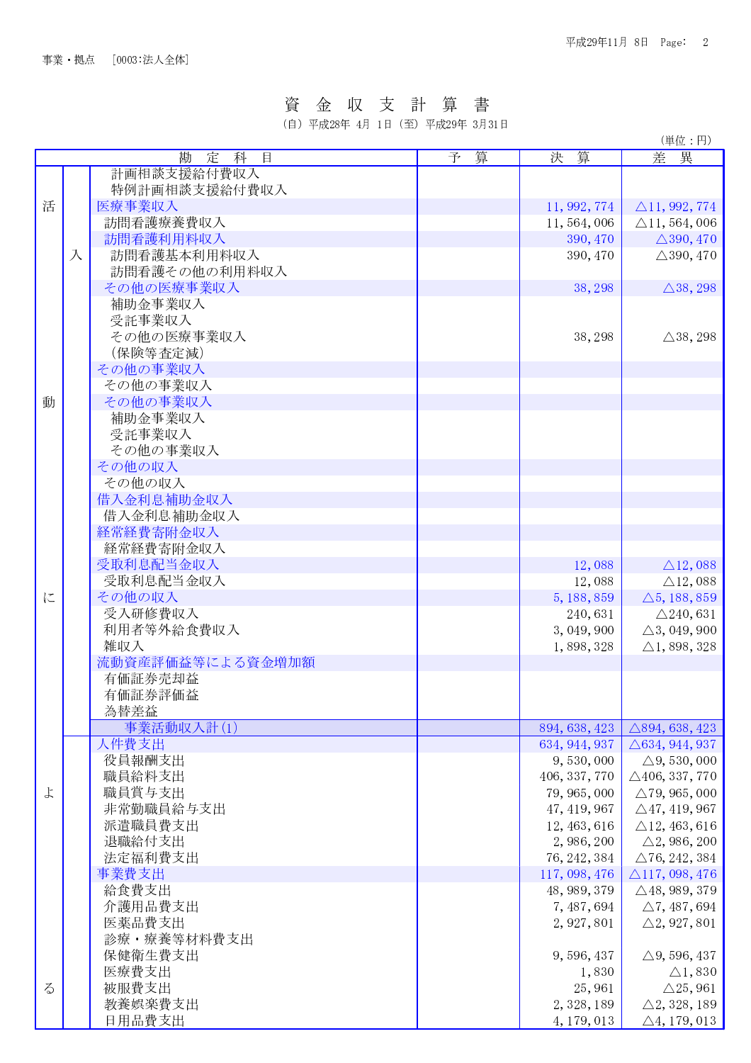#### 資 金 収 支 計 篁 書

(自) 平成28年 4月 1日 (至) 平成29年 3月31日

(単位:円) 决算 勘 定 科 目 予 算 差異 計画相談支援給付費収入 特例計画相談支援給付費収入 活 医療事業収入 11, 992, 774  $\triangle$ 11, 992, 774 訪問看護療養費収入 11.564.006  $\triangle$ 11, 564, 006 訪問看護利用料収入 390, 470  $\triangle$ 390, 470 入 訪問看護基本利用料収入 390.470  $\triangle$ 390, 470 訪問看護その他の利用料収入 その他の医療事業収入 38, 298  $\triangle$ 38, 298 補助金事業収入 受託事業収入 その他の医療事業収入 38, 298  $\triangle$ 38, 298 (保険等查定減) その他の事業収入 その他の事業収入 動 その他の事業収入 補助金事業収入 受託事業収入 その他の事業収入 その他の収入 その他の収入 借入金利息補助金収入 借入金利息補助金収入 経常経費寄附金収入 経常経費寄附金収入 12,088 受取利息配当金収入  $\triangle$ 12,088 受取利息配当金収入 12.088  $\triangle$ 12,088 に  $\triangle$ 5, 188, 859 その他の収入 5, 188, 859 受入研修費収入  $\triangle$ 240,631 240,631 利用者等外給食費収入 3.049.900  $\triangle$ 3.049.900  $\triangle$ 1, 898, 328 雑収入 1,898,328 流動資産評価益等による資金増加額 有価証券売却益 有価証券評価益 為替差益 事業活動収入計(1) 894, 638, 423  $\triangle$ 894, 638, 423 人件費支出 634, 944, 937  $\triangle$ 634, 944, 937 役員報酬支出 9,530,000  $\triangle$ 9, 530, 000 職員給料支出 406, 337, 770  $\triangle$ 406, 337, 770 よ 職員賞与支出 79, 965, 000  $\triangle$ 79, 965, 000 非常勤職員給与支出 47, 419, 967  $\triangle$ 47, 419, 967 派遣職員費支出 12.463.616  $\triangle$ 12.463.616 退職給付支出 2, 986, 200  $\triangle$ 2, 986, 200 法定福利費支出 76, 242, 384  $\triangle$  76, 242, 384 事業費支出 117, 098, 476  $\triangle$ 117, 098, 476 給食費支出  $\triangle$ 48, 989, 379 48, 989, 379 介護用品費支出 7.487.694  $\wedge$  7.487.694 医薬品費支出 2, 927, 801  $\triangle 2, 927, 801$ 診療·療養等材料費支出 保健衛生費支出 9,596,437  $\triangle$ 9, 596, 437 医療費支出 1,830  $\triangle$ 1,830  $\zeta$ 被服費支出 25,961  $\triangle$ 25, 961 教養娯楽費支出 2, 328, 189  $\triangle 2, 328, 189$ 日用品費支出 4, 179, 013  $\triangle 4, 179, 013$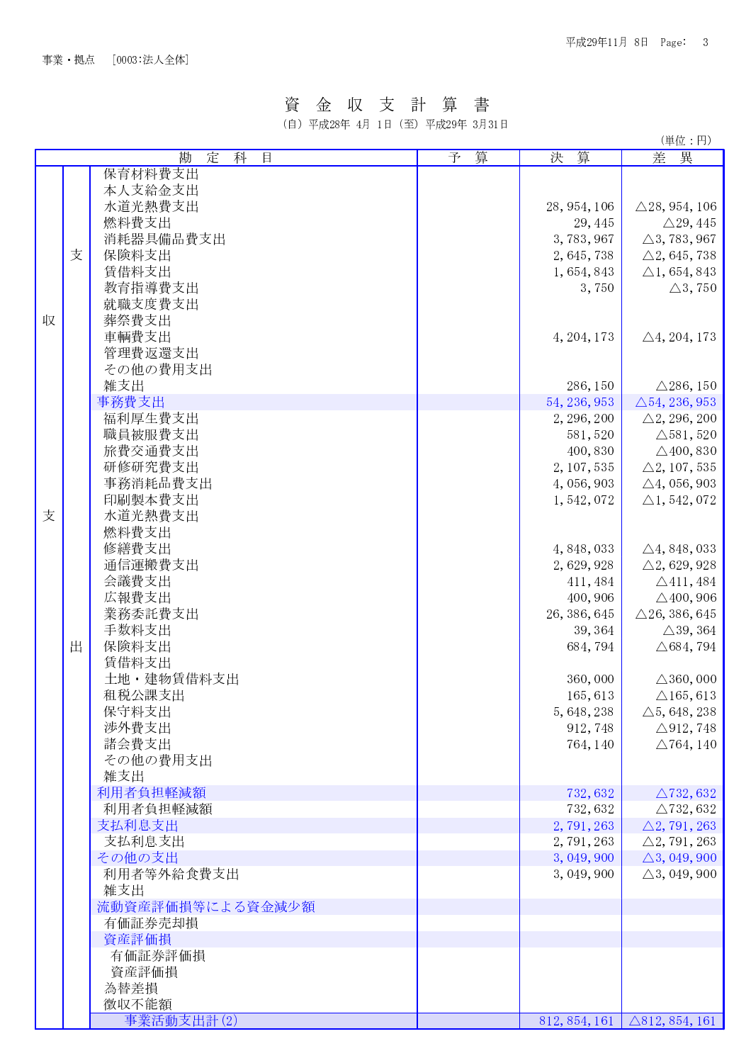## 資金収支計算書

(自) 平成28年 4月 1日 (至) 平成29年 3月31日

(単位·円)

|   |   | 定<br>目<br>勘<br>科 | 算<br>予 | 算<br>決        | 異<br>差                    |
|---|---|------------------|--------|---------------|---------------------------|
|   |   |                  |        |               |                           |
|   |   | 保育材料費支出          |        |               |                           |
|   |   | 本人支給金支出          |        |               |                           |
|   |   | 水道光熱費支出          |        | 28, 954, 106  | $\triangle$ 28, 954, 106  |
|   |   | 燃料費支出            |        | 29, 445       | $\triangle$ 29, 445       |
|   |   | 消耗器具備品費支出        |        | 3,783,967     | $\triangle$ 3, 783, 967   |
|   | 支 | 保険料支出            |        | 2, 645, 738   | $\triangle$ 2, 645, 738   |
|   |   | 賃借料支出            |        | 1, 654, 843   | $\triangle 1, 654, 843$   |
|   |   | 教育指導費支出          |        | 3,750         | $\triangle 3, 750$        |
|   |   |                  |        |               |                           |
|   |   | 就職支度費支出          |        |               |                           |
| 収 |   | 葬祭費支出            |        |               |                           |
|   |   | 車輌費支出            |        | 4, 204, 173   | $\triangle 4, 204, 173$   |
|   |   | 管理費返還支出          |        |               |                           |
|   |   | その他の費用支出         |        |               |                           |
|   |   | 雑支出              |        | 286, 150      | $\triangle$ 286, 150      |
|   |   | 事務費支出            |        | 54, 236, 953  | $\triangle$ 54, 236, 953  |
|   |   | 福利厚生費支出          |        | 2, 296, 200   |                           |
|   |   |                  |        |               | $\triangle$ 2, 296, 200   |
|   |   | 職員被服費支出          |        | 581, 520      | $\triangle$ 581, 520      |
|   |   | 旅費交通費支出          |        | 400, 830      | $\triangle$ 400, 830      |
|   |   | 研修研究費支出          |        | 2, 107, 535   | $\triangle 2, 107, 535$   |
|   |   | 事務消耗品費支出         |        | 4, 056, 903   | $\triangle 4, 056, 903$   |
|   |   | 印刷製本費支出          |        | 1,542,072     | $\triangle$ 1, 542, 072   |
| 支 |   | 水道光熱費支出          |        |               |                           |
|   |   | 燃料費支出            |        |               |                           |
|   |   | 修繕費支出            |        | 4, 848, 033   | $\triangle$ 4, 848, 033   |
|   |   |                  |        |               |                           |
|   |   | 通信運搬費支出          |        | 2,629,928     | $\triangle 2, 629, 928$   |
|   |   | 会議費支出            |        | 411, 484      | $\triangle$ 411, 484      |
|   |   | 広報費支出            |        | 400, 906      | $\triangle$ 400, 906      |
|   |   | 業務委託費支出          |        | 26, 386, 645  | $\triangle$ 26, 386, 645  |
|   |   | 手数料支出            |        | 39, 364       | $\triangle$ 39, 364       |
|   | 出 | 保険料支出            |        | 684, 794      | $\triangle$ 684, 794      |
|   |   | 賃借料支出            |        |               |                           |
|   |   | 土地·建物賃借料支出       |        | 360,000       | $\triangle$ 360, 000      |
|   |   | 租税公課支出           |        | 165, 613      | $\triangle$ 165, 613      |
|   |   |                  |        |               |                           |
|   |   | 保守料支出            |        | 5, 648, 238   | $\triangle$ 5, 648, 238   |
|   |   | 涉外費支出            |        | 912, 748      | $\triangle$ 912, 748      |
|   |   | 諸会費支出            |        | 764, 140      | $\triangle$ 764, 140      |
|   |   | その他の費用支出         |        |               |                           |
|   |   | 雑支出              |        |               |                           |
|   |   | 利用者負担軽減額         |        | 732, 632      | $\triangle$ 732, 632      |
|   |   | 利用者負担軽減額         |        | 732, 632      | $\triangle$ 732, 632      |
|   |   | 支払利息支出           |        | 2,791,263     | $\triangle 2, 791, 263$   |
|   |   | 支払利息支出           |        | 2,791,263     | $\triangle 2, 791, 263$   |
|   |   |                  |        |               |                           |
|   |   | その他の支出           |        | 3, 049, 900   | $\triangle$ 3, 049, 900   |
|   |   | 利用者等外給食費支出       |        | 3, 049, 900   | $\triangle$ 3, 049, 900   |
|   |   | 雑支出              |        |               |                           |
|   |   | 流動資産評価損等による資金減少額 |        |               |                           |
|   |   | 有価証券売却損          |        |               |                           |
|   |   | 資産評価損            |        |               |                           |
|   |   | 有価証券評価損          |        |               |                           |
|   |   | 資産評価損            |        |               |                           |
|   |   | 為替差損             |        |               |                           |
|   |   |                  |        |               |                           |
|   |   | 徴収不能額            |        |               |                           |
|   |   | 事業活動支出計(2)       |        | 812, 854, 161 | $\triangle$ 812, 854, 161 |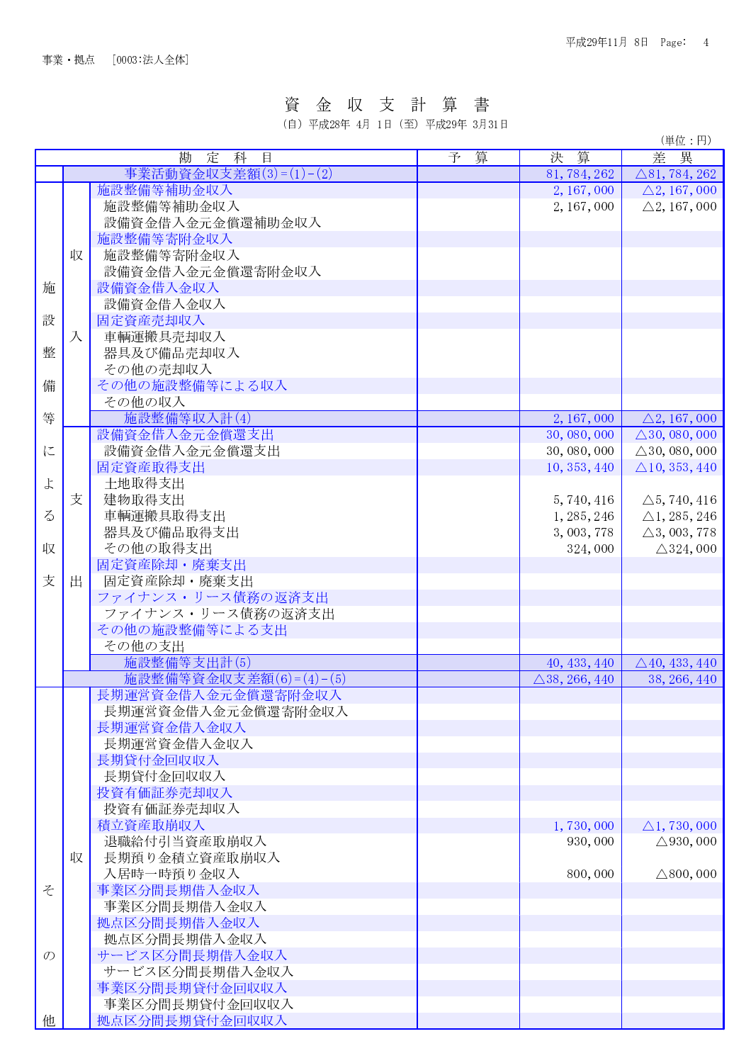### 資金収支計算 書

(自) 平成28年 4月 1日 (至) 平成29年 3月31日

(単位:円) 差異 勘定科目 予 算 決 算 事業活動資金収支差額(3)=(1)-(2) 81.784.262  $\triangle$ 81. 784. 262 施設整備等補助金収入 2, 167, 000  $\triangle$ 2, 167, 000 施設整備等補助金収入 2, 167, 000  $\triangle 2, 167, 000$ 設備資金借入金元金償還補助金収入 施設整備等寄附金収入 収 施設整備等寄附金収入 設備資金借入金元金償還寄附金収入 施 設備資金借入金収入 設備資金借入金収入 設 固定資産売却収入 入 車輌運搬具売却収入 整 器具及び備品売却収入 その他の売却収入 その他の施設整備等による収入 備 その他の収入 施設整備等収入計(4) 等 2, 167, 000  $\triangle$ 2, 167, 000 設備資金借入金元金償還支出 30, 080, 000  $\triangle$ 30, 080, 000 に 設備資金借入金元金償還支出 30,080,000  $\triangle$ 30, 080, 000 固定資産取得支出 10.353.440  $\triangle$ 10, 353, 440  $\downarrow$ 土地取得支出 支 建物取得支出 5, 740, 416  $\triangle$ 5, 740, 416  $\zeta$ 車輌運搬具取得支出 1, 285, 246  $\triangle$ 1, 285, 246 器具及び備品取得支出 3, 003, 778  $\triangle$ 3, 003, 778 収 その他の取得支出 324.000  $\triangle$ 324, 000 固定資産除却·廃棄支出 支 出 固定資産除却・廃棄支出 ファイナンス・リース債務の返済支出 ファイナンス・リース債務の返済支出 その他の施設整備等による支出 その他の支出 施設整備等支出計(5) 40, 433, 440  $\triangle$ 40, 433, 440 施設整備等資金収支差額(6)=(4)-(5)  $\triangle$ 38, 266, 440 38, 266, 440 長期運営資金借入金元金償還寄附金収入 長期運営資金借入金元金償還寄附金収入 長期運営資金借入金収入 長期運営資金借入金収入 長期貸付金回収収入 長期貸付金回収収入 投資有価証券売却収入 投資有価証券売却収入 積立資産取崩収入 1.730.000  $\wedge$ 1.730.000 退職給付引当資産取崩収入 930,000  $\triangle$ 930, 000 長期預り金積立資産取崩収入 収 入居時一時預り金収入 800,000  $\triangle 800, 000$ そ 事業区分間長期借入金収入 事業区分間長期借入金収入 拠点区分間長期借入金収入 拠点区分間長期借入金収入  $\mathcal{O}$ サービス区分間長期借入金収入 サービス区分間長期借入金収入 事業区分間長期貸付金回収収入 事業区分間長期貸付金回収収入 拠点区分間長期貸付金回収収入 他